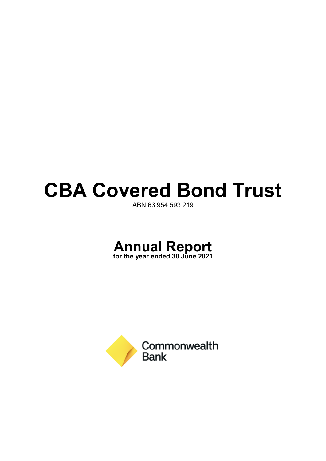# **CBA Covered Bond Trust**

ABN 63 954 593 219



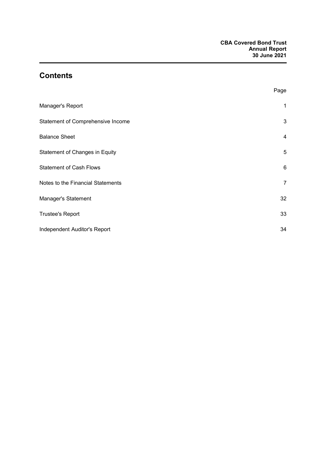## **Contents**

|                                   | Page            |
|-----------------------------------|-----------------|
| Manager's Report                  | 1               |
| Statement of Comprehensive Income | 3               |
| <b>Balance Sheet</b>              | 4               |
| Statement of Changes in Equity    | 5               |
| <b>Statement of Cash Flows</b>    | $6\phantom{1}6$ |
| Notes to the Financial Statements | $\overline{7}$  |
| Manager's Statement               | 32              |
| <b>Trustee's Report</b>           | 33              |
| Independent Auditor's Report      | 34              |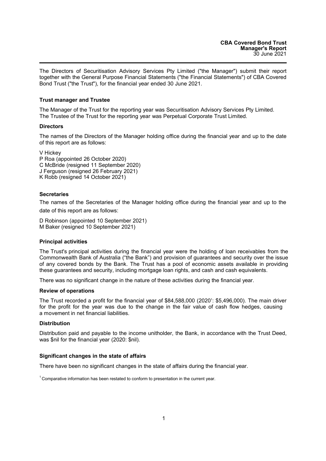The Directors of Securitisation Advisory Services Pty Limited ("the Manager") submit their report together with the General Purpose Financial Statements ("the Financial Statements") of CBA Covered Bond Trust ("the Trust"), for the financial year ended 30 June 2021.

### **Trust manager and Trustee**

The Manager of the Trust for the reporting year was Securitisation Advisory Services Pty Limited. The Trustee of the Trust for the reporting year was Perpetual Corporate Trust Limited.

#### **Directors**

The names of the Directors of the Manager holding office during the financial year and up to the date of this report are as follows:

V Hickey

P Roa (appointed 26 October 2020) C McBride (resigned 11 September 2020) J Ferguson (resigned 26 February 2021) K Robb (resigned 14 October 2021)

#### **Secretaries**

The names of the Secretaries of the Manager holding office during the financial year and up to the date of this report are as follows:

D Robinson (appointed 10 September 2021) M Baker (resigned 10 September 2021)

#### **Principal activities**

The Trust's principal activities during the financial year were the holding of loan receivables from the Commonwealth Bank of Australia ("the Bank") and provision of guarantees and security over the issue of any covered bonds by the Bank. The Trust has a pool of economic assets available in providing these guarantees and security, including mortgage loan rights, and cash and cash equivalents.

There was no significant change in the nature of these activities during the financial year.

#### **Review of operations**

The Trust recorded a profit for the financial year of \$84,588,000 (2020<sup>1</sup>: \$5,496,000). The main driver for the profit for the year was due to the change in the fair value of cash flow hedges, causing a movement in net financial liabilities.

### **Distribution**

Distribution paid and payable to the income unitholder, the Bank, in accordance with the Trust Deed, was \$nil for the financial year (2020: \$nil).

#### **Significant changes in the state of affairs**

There have been no significant changes in the state of affairs during the financial year.

<sup>&</sup>lt;sup>1</sup> Comparative information has been restated to conform to presentation in the current year.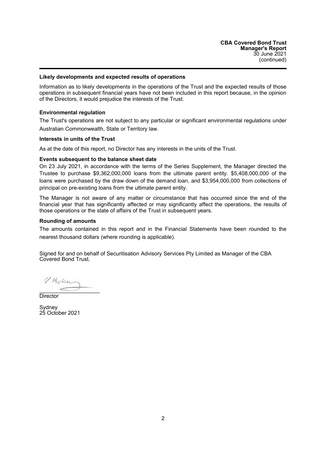#### **Likely developments and expected results of operations**

Information as to likely developments in the operations of the Trust and the expected results of those operations in subsequent financial years have not been included in this report because, in the opinion of the Directors, it would prejudice the interests of the Trust.

#### **Environmental regulation**

The Trust's operations are not subject to any particular or significant environmental regulations under Australian Commonwealth, State or Territory law.

#### **Interests in units of the Trust**

As at the date of this report, no Director has any interests in the units of the Trust.

#### **Events subsequent to the balance sheet date**

On 23 July 2021, in accordance with the terms of the Series Supplement, the Manager directed the Trustee to purchase \$9,362,000,000 loans from the ultimate parent entity. \$5,408,000,000 of the loans were purchased by the draw down of the demand loan, and \$3,954,000,000 from collections of principal on pre-existing loans from the ultimate parent entity.

The Manager is not aware of any matter or circumstance that has occurred since the end of the financial year that has significantly affected or may significantly affect the operations, the results of those operations or the state of affairs of the Trust in subsequent years.

#### **Rounding of amounts**

The amounts contained in this report and in the Financial Statements have been rounded to the nearest thousand dollars (where rounding is applicable).

Signed for and on behalf of Securitisation Advisory Services Pty Limited as Manager of the CBA Covered Bond Trust.

V. Hicker  $\overline{\phantom{a}}$ 

**Director** 

**Sydney** 25 October 2021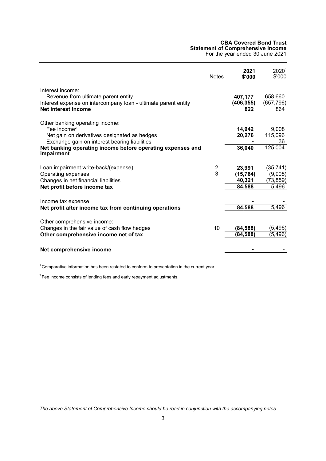#### **CBA Covered Bond Trust Statement of Comprehensive Income**

For the year ended 30 June 2021

<span id="page-4-0"></span>

|                                                                                                                                                    | <b>Notes</b> | 2021<br>\$'000        | 20201<br>\$'000        |
|----------------------------------------------------------------------------------------------------------------------------------------------------|--------------|-----------------------|------------------------|
| Interest income:<br>Revenue from ultimate parent entity<br>Interest expense on intercompany loan - ultimate parent entity                          |              | 407,177<br>(406, 355) | 658,660<br>(657, 796)  |
| Net interest income                                                                                                                                |              | 822                   | 864                    |
| Other banking operating income:<br>Fee income $2$<br>Net gain on derivatives designated as hedges<br>Exchange gain on interest bearing liabilities |              | 14,942<br>20,276      | 9,008<br>115,096<br>36 |
| Net banking operating income before operating expenses and<br>impairment                                                                           |              | 36,040                | 125,004                |
| Loan impairment write-back/(expense)                                                                                                               | 2            | 23,991                | (35, 741)              |
| Operating expenses                                                                                                                                 | 3            | (15, 764)             | (9,908)                |
| Changes in net financial liabilities<br>Net profit before income tax                                                                               |              | 40,321<br>84,588      | (73, 859)<br>5,496     |
|                                                                                                                                                    |              |                       |                        |
| Income tax expense                                                                                                                                 |              |                       |                        |
| Net profit after income tax from continuing operations                                                                                             |              | 84,588                | 5,496                  |
|                                                                                                                                                    |              |                       |                        |
| Other comprehensive income:<br>Changes in the fair value of cash flow hedges                                                                       | 10           | (84, 588)             | (5, 496)               |
| Other comprehensive income net of tax                                                                                                              |              | (84, 588)             | (5, 496)               |
|                                                                                                                                                    |              |                       |                        |
| Net comprehensive income                                                                                                                           |              | -                     |                        |

 $1$  Comparative information has been restated to conform to presentation in the current year.

 $2$  Fee income consists of lending fees and early repayment adjustments.

*The above Statement of Comprehensive Income should be read in conjunction with the accompanying notes.*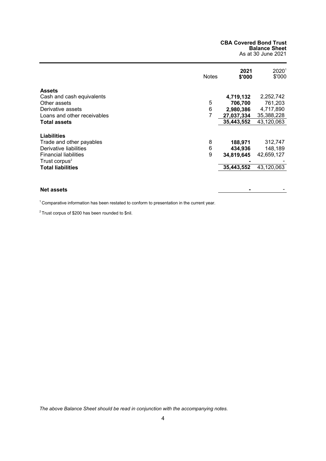#### **CBA Covered Bond Trust Balance Sheet** As at 30 June 2021

<span id="page-5-0"></span>

|                                                                                                          | <b>Notes</b> | 2021<br>\$'000                   | $2020^{\circ}$<br>\$'000         |
|----------------------------------------------------------------------------------------------------------|--------------|----------------------------------|----------------------------------|
| <b>Assets</b><br>Cash and cash equivalents                                                               |              | 4,719,132                        | 2,252,742                        |
| Other assets                                                                                             | 5            | 706,700                          | 761,203                          |
| Derivative assets                                                                                        | 6            | 2,980,386                        | 4,717,890                        |
| Loans and other receivables                                                                              | 7            | 27,037,334                       | 35,388,228                       |
| <b>Total assets</b>                                                                                      |              | 35,443,552                       | 43,120,063                       |
| <b>Liabilities</b><br>Trade and other payables<br>Derivative liabilities<br><b>Financial liabilities</b> | 8<br>6<br>9  | 188,971<br>434,936<br>34,819,645 | 312,747<br>148,189<br>42,659,127 |
| Trust corpus <sup>2</sup><br><b>Total liabilities</b>                                                    |              | 35,443,552                       | 43,120,063                       |
| <b>Net assets</b>                                                                                        |              |                                  |                                  |

<sup>1</sup> Comparative information has been restated to conform to presentation in the current year.

 $2$  Trust corpus of \$200 has been rounded to \$nil.

*The above Balance Sheet should be read in conjunction with the accompanying notes.*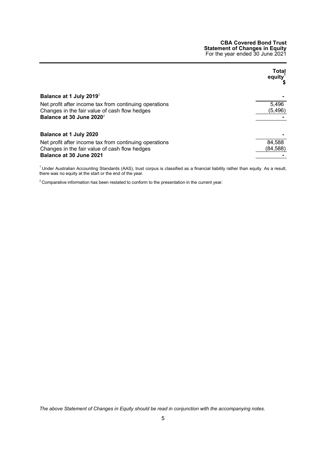#### **CBA Covered Bond Trust Statement of Changes in Equity** For the year ended 30 June 2021

<span id="page-6-0"></span>

|                                                        | Total<br>equity <sup>1</sup> |
|--------------------------------------------------------|------------------------------|
| Balance at 1 July 2019 <sup>2</sup>                    |                              |
| Net profit after income tax from continuing operations | 5,496                        |
| Changes in the fair value of cash flow hedges          | (5, 496)                     |
| Balance at 30 June 2020 <sup>2</sup>                   |                              |
| Balance at 1 July 2020                                 |                              |
| Net profit after income tax from continuing operations | 84,588                       |
| Changes in the fair value of cash flow hedges          | (84,588)                     |
| Balance at 30 June 2021                                |                              |

 $1$ Under Australian Accounting Standards (AAS), trust corpus is classified as a financial liability rather than equity. As a result, there was no equity at the start or the end of the year.

 $2$  Comparative information has been restated to conform to the presentation in the current year.

*The above Statement of Changes in Equity should be read in conjunction with the accompanying notes.*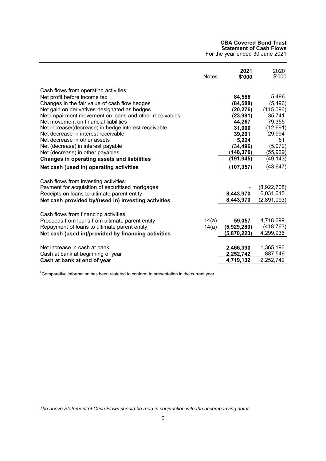#### **CBA Covered Bond Trust Statement of Cash Flows**

For the year ended 30 June 2021

<span id="page-7-0"></span>

|                                                        | <b>Notes</b> | 2021<br>\$'000 | 2020 <sup>1</sup><br>\$'000 |
|--------------------------------------------------------|--------------|----------------|-----------------------------|
| Cash flows from operating activities:                  |              |                |                             |
| Net profit before income tax                           |              | 84,588         | 5,496                       |
| Changes in the fair value of cash flow hedges          |              | (84, 588)      | (5, 496)                    |
| Net gain on derivatives designated as hedges           |              | (20, 276)      | (115,096)                   |
| Net impairment movement on loans and other receivables |              | (23, 991)      | 35,741                      |
| Net movement on financial liabilities                  |              | 44,267         | 79,355                      |
| Net increase/(decrease) in hedge interest receivable   |              | 31,000         | (12,691)                    |
| Net decrease in interest receivable                    |              | 39,291         | 29,994                      |
| Net decrease in other assets                           |              | 5,224          | 51                          |
| Net (decrease) in interest payable                     |              | (34, 496)      | (5,072)                     |
| Net (decrease) in other payables                       |              | (148, 376)     | (55, 929)                   |
| Changes in operating assets and liabilities            |              | (191, 945)     | (49, 143)                   |
| Net cash (used in) operating activities                |              | (107, 357)     | (43, 647)                   |
| Cash flows from investing activities:                  |              |                |                             |
| Payment for acquisition of securitised mortgages       |              |                | (8,922,708)                 |
| Receipts on loans to ultimate parent entity            |              | 8,443,970      | 6,031,615                   |
| Net cash provided by/(used in) investing activities    |              | 8,443,970      | (2,891,093)                 |
| Cash flows from financing activities:                  |              |                |                             |
| Proceeds from loans from ultimate parent entity        | 14(a)        | 59,057         | 4,718,699                   |
| Repayment of loans to ultimate parent entity           | 14(a)        | (5,929,280)    | (418, 763)                  |
| Net cash (used in)/provided by financing activities    |              | (5,870,223)    | 4,299,936                   |
|                                                        |              |                |                             |
| Net increase in cash at bank                           |              | 2,466,390      | 1,365,196                   |
| Cash at bank at beginning of year                      |              | 2,252,742      | 887,546                     |
| Cash at bank at end of year                            |              | 4,719,132      | 2,252,742                   |

<sup>1</sup> Comparative information has been restated to conform to presentation in the current year.

*The above Statement of Cash Flows should be read in conjunction with the accompanying notes.*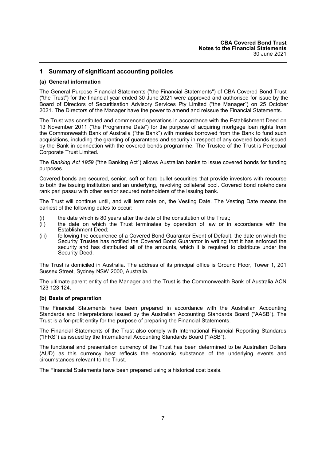## <span id="page-8-0"></span>**1 Summary of significant accounting policies**

#### **(a) General information**

The General Purpose Financial Statements ("the Financial Statements") of CBA Covered Bond Trust ("the Trust") for the financial year ended 30 June 2021 were approved and authorised for issue by the Board of Directors of Securitisation Advisory Services Pty Limited ("the Manager") on 25 October 2021. The Directors of the Manager have the power to amend and reissue the Financial Statements.

The Trust was constituted and commenced operations in accordance with the Establishment Deed on 13 November 2011 ("the Programme Date") for the purpose of acquiring mortgage loan rights from the Commonwealth Bank of Australia ("the Bank") with monies borrowed from the Bank to fund such acquisitions, including the granting of guarantees and security in respect of any covered bonds issued by the Bank in connection with the covered bonds programme. The Trustee of the Trust is Perpetual Corporate Trust Limited.

The *Banking Act 1959* ("the Banking Act") allows Australian banks to issue covered bonds for funding purposes.

Covered bonds are secured, senior, soft or hard bullet securities that provide investors with recourse to both the issuing institution and an underlying, revolving collateral pool. Covered bond noteholders rank pari passu with other senior secured noteholders of the issuing bank.

The Trust will continue until, and will terminate on, the Vesting Date. The Vesting Date means the earliest of the following dates to occur:

- (i) the date which is 80 years after the date of the constitution of the Trust;
- (ii) the date on which the Trust terminates by operation of law or in accordance with the Establishment Deed;
- (iii) following the occurrence of a Covered Bond Guarantor Event of Default, the date on which the Security Trustee has notified the Covered Bond Guarantor in writing that it has enforced the security and has distributed all of the amounts, which it is required to distribute under the Security Deed.

The Trust is domiciled in Australia. The address of its principal office is Ground Floor, Tower 1, 201 Sussex Street, Sydney NSW 2000, Australia.

The ultimate parent entity of the Manager and the Trust is the Commonwealth Bank of Australia ACN 123 123 124.

#### **(b) Basis of preparation**

The Financial Statements have been prepared in accordance with the Australian Accounting Standards and Interpretations issued by the Australian Accounting Standards Board ("AASB"). The Trust is a for-profit entity for the purpose of preparing the Financial Statements.

The Financial Statements of the Trust also comply with International Financial Reporting Standards ("IFRS") as issued by the International Accounting Standards Board ("IASB").

The functional and presentation currency of the Trust has been determined to be Australian Dollars (AUD) as this currency best reflects the economic substance of the underlying events and circumstances relevant to the Trust.

The Financial Statements have been prepared using a historical cost basis.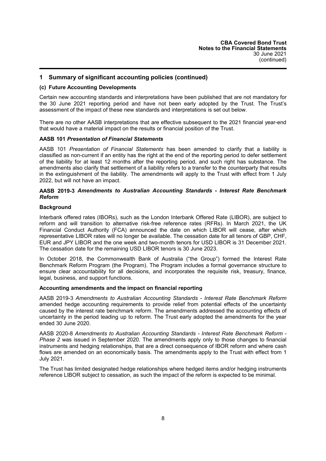#### **(c) Future Accounting Developments**

Certain new accounting standards and interpretations have been published that are not mandatory for the 30 June 2021 reporting period and have not been early adopted by the Trust. The Trust's assessment of the impact of these new standards and interpretations is set out below.

There are no other AASB interpretations that are effective subsequent to the 2021 financial year-end that would have a material impact on the results or financial position of the Trust.

#### **AASB 101** *Presentation of Financial Statements*

AASB 101 *Presentation of Financial Statements* has been amended to clarify that a liability is classified as non-current if an entity has the right at the end of the reporting period to defer settlement of the liability for at least 12 months after the reporting period, and such right has substance. The amendments also clarify that settlement of a liability refers to a transfer to the counterparty that results in the extinguishment of the liability. The amendments will apply to the Trust with effect from 1 July 2022, but will not have an impact.

#### **AASB 2019-3** *Amendments to Australian Accounting Standards - Interest Rate Benchmark Reform*

#### **Background**

Interbank offered rates (IBORs), such as the London Interbank Offered Rate (LIBOR), are subject to reform and will transition to alternative risk-free reference rates (RFRs). In March 2021, the UK Financial Conduct Authority (FCA) announced the date on which LIBOR will cease, after which representative LIBOR rates will no longer be available. The cessation date for all tenors of GBP, CHF, EUR and JPY LIBOR and the one week and two-month tenors for USD LIBOR is 31 December 2021. The cessation date for the remaining USD LIBOR tenors is 30 June 2023.

In October 2018, the Commonwealth Bank of Australia ("the Group") formed the Interest Rate Benchmark Reform Program (the Program). The Program includes a formal governance structure to ensure clear accountability for all decisions, and incorporates the requisite risk, treasury, finance, legal, business, and support functions.

#### **Accounting amendments and the impact on financial reporting**

AASB 2019-3 *Amendments to Australian Accounting Standards - Interest Rate Benchmark Reform* amended hedge accounting requirements to provide relief from potential effects of the uncertainty caused by the interest rate benchmark reform. The amendments addressed the accounting effects of uncertainty in the period leading up to reform. The Trust early adopted the amendments for the year ended 30 June 2020.

AASB 2020-8 *Amendments to Australian Accounting Standards - Interest Rate Benchmark Reform - Phase 2* was issued in September 2020. The amendments apply only to those changes to financial instruments and hedging relationships, that are a direct consequence of IBOR reform and where cash flows are amended on an economically basis. The amendments apply to the Trust with effect from 1 July 2021.

The Trust has limited designated hedge relationships where hedged items and/or hedging instruments reference LIBOR subject to cessation, as such the impact of the reform is expected to be minimal.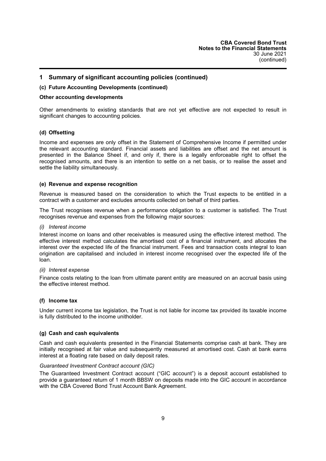#### **(c) Future Accounting Developments (continued)**

#### **Other accounting developments**

Other amendments to existing standards that are not yet effective are not expected to result in significant changes to accounting policies.

#### **(d) Offsetting**

Income and expenses are only offset in the Statement of Comprehensive Income if permitted under the relevant accounting standard. Financial assets and liabilities are offset and the net amount is presented in the Balance Sheet if, and only if, there is a legally enforceable right to offset the recognised amounts, and there is an intention to settle on a net basis, or to realise the asset and settle the liability simultaneously.

#### **(e) Revenue and expense recognition**

Revenue is measured based on the consideration to which the Trust expects to be entitled in a contract with a customer and excludes amounts collected on behalf of third parties.

The Trust recognises revenue when a performance obligation to a customer is satisfied. The Trust recognises revenue and expenses from the following major sources:

#### *(i) Interest income*

Interest income on loans and other receivables is measured using the effective interest method. The effective interest method calculates the amortised cost of a financial instrument, and allocates the interest over the expected life of the financial instrument. Fees and transaction costs integral to loan origination are capitalised and included in interest income recognised over the expected life of the loan.

#### *(ii) Interest expense*

Finance costs relating to the loan from ultimate parent entity are measured on an accrual basis using the effective interest method.

#### **(f) Income tax**

Under current income tax legislation, the Trust is not liable for income tax provided its taxable income is fully distributed to the income unitholder.

#### **(g) Cash and cash equivalents**

Cash and cash equivalents presented in the Financial Statements comprise cash at bank. They are initially recognised at fair value and subsequently measured at amortised cost. Cash at bank earns interest at a floating rate based on daily deposit rates.

#### *Guaranteed Investment Contract account (GIC)*

The Guaranteed Investment Contract account ("GIC account") is a deposit account established to provide a guaranteed return of 1 month BBSW on deposits made into the GIC account in accordance with the CBA Covered Bond Trust Account Bank Agreement.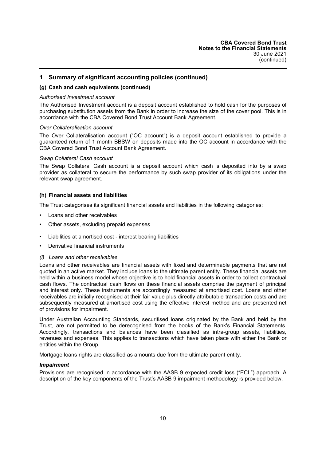#### **(g) Cash and cash equivalents (continued)**

#### *Authorised Investment account*

The Authorised Investment account is a deposit account established to hold cash for the purposes of purchasing substitution assets from the Bank in order to increase the size of the cover pool. This is in accordance with the CBA Covered Bond Trust Account Bank Agreement.

#### *Over Collateralisation account*

The Over Collateralisation account ("OC account") is a deposit account established to provide a guaranteed return of 1 month BBSW on deposits made into the OC account in accordance with the CBA Covered Bond Trust Account Bank Agreement.

#### *Swap Collateral Cash account*

The Swap Collateral Cash account is a deposit account which cash is deposited into by a swap provider as collateral to secure the performance by such swap provider of its obligations under the relevant swap agreement.

#### **(h) Financial assets and liabilities**

The Trust categorises its significant financial assets and liabilities in the following categories:

- Loans and other receivables
- Other assets, excluding prepaid expenses
- Liabilities at amortised cost interest bearing liabilities
- Derivative financial instruments

#### *(i) Loans and other receivables*

Loans and other receivables are financial assets with fixed and determinable payments that are not quoted in an active market. They include loans to the ultimate parent entity. These financial assets are held within a business model whose objective is to hold financial assets in order to collect contractual cash flows. The contractual cash flows on these financial assets comprise the payment of principal and interest only. These instruments are accordingly measured at amortised cost. Loans and other receivables are initially recognised at their fair value plus directly attributable transaction costs and are subsequently measured at amortised cost using the effective interest method and are presented net of provisions for impairment.

Under Australian Accounting Standards, securitised loans originated by the Bank and held by the Trust, are not permitted to be derecognised from the books of the Bank's Financial Statements. Accordingly, transactions and balances have been classified as intra-group assets, liabilities, revenues and expenses. This applies to transactions which have taken place with either the Bank or entities within the Group.

Mortgage loans rights are classified as amounts due from the ultimate parent entity.

#### *Impairment*

Provisions are recognised in accordance with the AASB 9 expected credit loss ("ECL") approach. A description of the key components of the Trust's AASB 9 impairment methodology is provided below.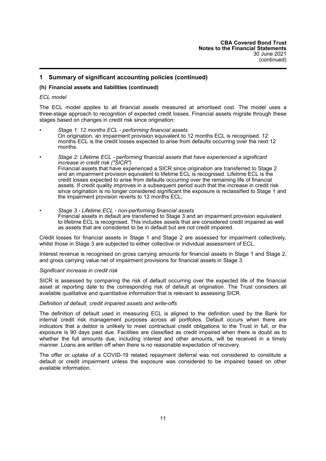#### **(h) Financial assets and liabilities (continued)**

#### *ECL model*

The ECL model applies to all financial assets measured at amortised cost. The model uses a three-stage approach to recognition of expected credit losses. Financial assets migrate through these stages based on changes in credit risk since origination:

- *Stage 1: 12 months ECL - performing financial assets* On origination, an impairment provision equivalent to 12 months ECL is recognised. 12 months ECL is the credit losses expected to arise from defaults occurring over the next 12 months.
- *Stage 2: Lifetime ECL - performing financial assets that have experienced a significant increase in credit risk ("SICR")* Financial assets that have experienced a SICR since origination are transferred to Stage 2 and an impairment provision equivalent to lifetime ECL is recognised. Lifetime ECL is the credit losses expected to arise from defaults occurring over the remaining life of financial assets. If credit quality improves in a subsequent period such that the increase in credit risk since origination is no longer considered significant the exposure is reclassified to Stage 1 and the impairment provision reverts to 12 months ECL.
- *Stage 3 - Lifetime ECL - non-performing financial assets* Financial assets in default are transferred to Stage 3 and an impairment provision equivalent to lifetime ECL is recognised. This includes assets that are considered credit impaired as well as assets that are considered to be in default but are not credit impaired.

Credit losses for financial assets in Stage 1 and Stage 2 are assessed for impairment collectively, whilst those in Stage 3 are subjected to either collective or individual assessment of ECL.

Interest revenue is recognised on gross carrying amounts for financial assets in Stage 1 and Stage 2, and gross carrying value net of impairment provisions for financial assets in Stage 3.

#### *Significant increase in credit risk*

SICR is assessed by comparing the risk of default occurring over the expected life of the financial asset at reporting date to the corresponding risk of default at origination. The Trust considers all available qualitative and quantitative information that is relevant to assessing SICR.

#### *Definition of default, credit impaired assets and write-offs*

The definition of default used in measuring ECL is aligned to the definition used by the Bank for internal credit risk management purposes across all portfolios. Default occurs when there are indicators that a debtor is unlikely to meet contractual credit obligations to the Trust in full, or the exposure is 90 days past due. Facilities are classified as credit impaired when there is doubt as to whether the full amounts due, including interest and other amounts, will be received in a timely manner. Loans are written off when there is no reasonable expectation of recovery.

The offer or uptake of a COVID-19 related repayment deferral was not considered to constitute a default or credit impairment unless the exposure was considered to be impaired based on other available information.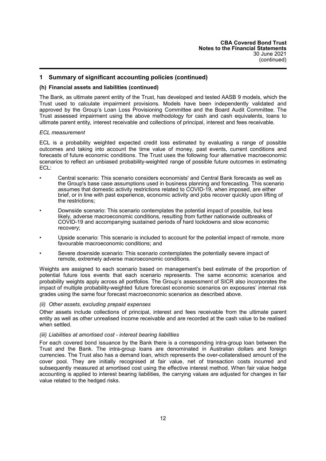#### **(h) Financial assets and liabilities (continued)**

The Bank, as ultimate parent entity of the Trust, has developed and tested AASB 9 models, which the Trust used to calculate impairment provisions. Models have been independently validated and approved by the Group's Loan Loss Provisioning Committee and the Board Audit Committee. The Trust assessed impairment using the above methodology for cash and cash equivalents, loans to ultimate parent entity, interest receivable and collections of principal, interest and fees receivable.

#### *ECL measurement*

ECL is a probability weighted expected credit loss estimated by evaluating a range of possible outcomes and taking into account the time value of money, past events, current conditions and forecasts of future economic conditions. The Trust uses the following four alternative macroeconomic scenarios to reflect an unbiased probability-weighted range of possible future outcomes in estimating ECL:

- Central scenario: This scenario considers economists' and Central Bank forecasts as well as the Group's base case assumptions used in business planning and forecasting. This scenario assumes that domestic activity restrictions related to COVID-19, when imposed, are either brief, or in line with past experience, economic activity and jobs recover quickly upon lifting of the restrictions;
- Downside scenario: This scenario contemplates the potential impact of possible, but less likely, adverse macroeconomic conditions, resulting from further nationwide outbreaks of COVID-19 and accompanying sustained periods of hard lockdowns and slow economic recovery;
- Upside scenario: This scenario is included to account for the potential impact of remote, more favourable macroeconomic conditions; and
- Severe downside scenario: This scenario contemplates the potentially severe impact of remote, extremely adverse macroeconomic conditions.

Weights are assigned to each scenario based on management's best estimate of the proportion of potential future loss events that each scenario represents. The same economic scenarios and probability weights apply across all portfolios. The Group's assessment of SICR also incorporates the impact of multiple probability-weighted future forecast economic scenarios on exposures' internal risk grades using the same four forecast macroeconomic scenarios as described above.

#### *(ii) Other assets, excluding prepaid expenses*

Other assets include collections of principal, interest and fees receivable from the ultimate parent entity as well as other unrealised income receivable and are recorded at the cash value to be realised when settled.

#### *(iii) Liabilities at amortised cost - interest bearing liabilities*

For each covered bond issuance by the Bank there is a corresponding intra-group loan between the Trust and the Bank. The intra-group loans are denominated in Australian dollars and foreign currencies. The Trust also has a demand loan, which represents the over-collateralised amount of the cover pool. They are initially recognised at fair value, net of transaction costs incurred and subsequently measured at amortised cost using the effective interest method. When fair value hedge accounting is applied to interest bearing liabilities, the carrying values are adjusted for changes in fair value related to the hedged risks.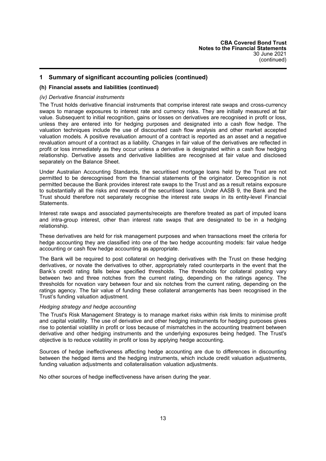#### **(h) Financial assets and liabilities (continued)**

## *(iv) Derivative financial instruments*

The Trust holds derivative financial instruments that comprise interest rate swaps and cross-currency swaps to manage exposures to interest rate and currency risks. They are initially measured at fair value. Subsequent to initial recognition, gains or losses on derivatives are recognised in profit or loss, unless they are entered into for hedging purposes and designated into a cash flow hedge. The valuation techniques include the use of discounted cash flow analysis and other market accepted valuation models. A positive revaluation amount of a contract is reported as an asset and a negative revaluation amount of a contract as a liability. Changes in fair value of the derivatives are reflected in profit or loss immediately as they occur unless a derivative is designated within a cash flow hedging relationship. Derivative assets and derivative liabilities are recognised at fair value and disclosed separately on the Balance Sheet.

Under Australian Accounting Standards, the securitised mortgage loans held by the Trust are not permitted to be derecognised from the financial statements of the originator. Derecognition is not permitted because the Bank provides interest rate swaps to the Trust and as a result retains exposure to substantially all the risks and rewards of the securitised loans. Under AASB 9, the Bank and the Trust should therefore not separately recognise the interest rate swaps in its entity-level Financial Statements.

Interest rate swaps and associated payments/receipts are therefore treated as part of imputed loans and intra-group interest, other than interest rate swaps that are designated to be in a hedging relationship.

These derivatives are held for risk management purposes and when transactions meet the criteria for hedge accounting they are classified into one of the two hedge accounting models: fair value hedge accounting or cash flow hedge accounting as appropriate.

The Bank will be required to post collateral on hedging derivatives with the Trust on these hedging derivatives, or novate the derivatives to other, appropriately rated counterparts in the event that the Bank's credit rating falls below specified thresholds. The thresholds for collateral posting vary between two and three notches from the current rating, depending on the ratings agency. The thresholds for novation vary between four and six notches from the current rating, depending on the ratings agency. The fair value of funding these collateral arrangements has been recognised in the Trust's funding valuation adjustment.

#### *Hedging strategy and hedge accounting*

The Trust's Risk Management Strategy is to manage market risks within risk limits to minimise profit and capital volatility. The use of derivative and other hedging instruments for hedging purposes gives rise to potential volatility in profit or loss because of mismatches in the accounting treatment between derivative and other hedging instruments and the underlying exposures being hedged. The Trust's objective is to reduce volatility in profit or loss by applying hedge accounting.

Sources of hedge ineffectiveness affecting hedge accounting are due to differences in discounting between the hedged items and the hedging instruments, which include credit valuation adjustments, funding valuation adjustments and collateralisation valuation adjustments.

No other sources of hedge ineffectiveness have arisen during the year.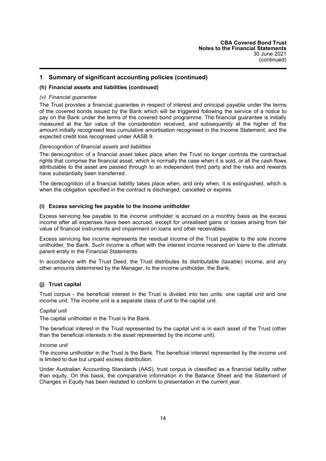#### **(h) Financial assets and liabilities (continued)**

#### *(v) Financial guarantee*

The Trust provides a financial guarantee in respect of interest and principal payable under the terms of the covered bonds issued by the Bank which will be triggered following the service of a notice to pay on the Bank under the terms of the covered bond programme. The financial guarantee is initially measured at the fair value of the consideration received, and subsequently at the higher of the amount initially recognised less cumulative amortisation recognised in the Income Statement, and the expected credit loss recognised under AASB 9.

#### *Derecognition of financial assets and liabilities*

The derecognition of a financial asset takes place when the Trust no longer controls the contractual rights that comprise the financial asset, which is normally the case when it is sold, or all the cash flows attributable to the asset are passed through to an independent third party and the risks and rewards have substantially been transferred.

The derecognition of a financial liability takes place when, and only when, it is extinguished, which is when the obligation specified in the contract is discharged, cancelled or expires.

## **(i) Excess servicing fee payable to the income unitholder**

Excess servicing fee payable to the income unitholder is accrued on a monthly basis as the excess income after all expenses have been accrued, except for unrealised gains or losses arising from fair value of financial instruments and impairment on loans and other receivables.

Excess servicing fee income represents the residual income of the Trust payable to the sole income unitholder, the Bank. Such income is offset with the interest income received on loans to the ultimate parent entity in the Financial Statements.

In accordance with the Trust Deed, the Trust distributes its distributable (taxable) income, and any other amounts determined by the Manager, to the income unitholder, the Bank.

#### **(j) Trust capital**

Trust corpus - the beneficial interest in the Trust is divided into two units: one capital unit and one income unit. The income unit is a separate class of unit to the capital unit.

#### *Capital unit*

The capital unitholder in the Trust is the Bank.

The beneficial interest in the Trust represented by the capital unit is in each asset of the Trust (other than the beneficial interests in the asset represented by the income unit).

#### *Income unit*

The income unitholder in the Trust is the Bank. The beneficial interest represented by the income unit is limited to due but unpaid excess distribution.

Under Australian Accounting Standards (AAS), trust corpus is classified as a financial liability rather than equity. On this basis, the comparative information in the Balance Sheet and the Statement of Changes in Equity has been restated to conform to presentation in the current year.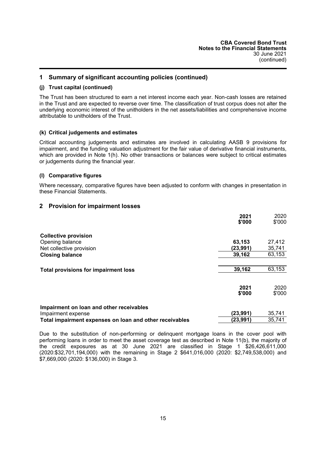#### **(j) Trust capital (continued)**

The Trust has been structured to earn a net interest income each year. Non-cash losses are retained in the Trust and are expected to reverse over time. The classification of trust corpus does not alter the underlying economic interest of the unitholders in the net assets/liabilities and comprehensive income attributable to unitholders of the Trust.

#### **(k) Critical judgements and estimates**

Critical accounting judgements and estimates are involved in calculating AASB 9 provisions for impairment, and the funding valuation adjustment for the fair value of derivative financial instruments, which are provided in Note 1(h). No other transactions or balances were subject to critical estimates or judgements during the financial year.

## **(l) Comparative figures**

<span id="page-16-0"></span>Where necessary, comparative figures have been adjusted to conform with changes in presentation in these Financial Statements.

## **2 Provision for impairment losses**

|                                                         | 2021<br>\$'000 | 2020<br>\$'000 |
|---------------------------------------------------------|----------------|----------------|
| <b>Collective provision</b>                             |                |                |
| Opening balance                                         | 63,153         | 27,412         |
| Net collective provision                                | (23,991)       | 35,741         |
| <b>Closing balance</b>                                  | 39,162         | 63,153         |
| <b>Total provisions for impairment loss</b>             | 39,162         | 63,153         |
|                                                         | 2021<br>\$'000 | 2020<br>\$'000 |
| Impairment on loan and other receivables                |                |                |
| Impairment expense                                      | (23, 991)      | 35,741         |
| Total impairment expenses on loan and other receivables | (23, 991)      | 35,741         |

Due to the substitution of non-performing or delinquent mortgage loans in the cover pool with performing loans in order to meet the asset coverage test as described in Note 11(b), the majority of the credit exposures as at 30 June 2021 are classified in Stage 1 \$26,426,611,000 (2020:\$32,701,194,000) with the remaining in Stage 2 \$641,016,000 (2020: \$2,749,538,000) and \$7,669,000 (2020: \$136,000) in Stage 3.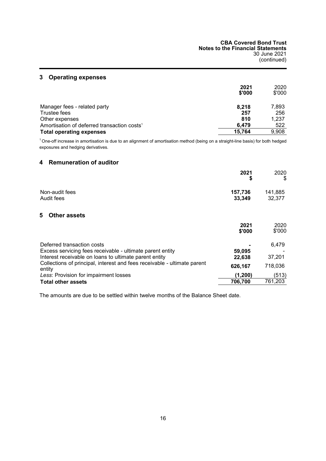## <span id="page-17-0"></span>**3 Operating expenses**

|                                                         | 2021<br>\$'000 | 2020<br>\$'000 |
|---------------------------------------------------------|----------------|----------------|
| Manager fees - related party                            | 8.218          | 7,893          |
| Trustee fees                                            | 257            | 256            |
| Other expenses                                          | 810            | 1,237          |
| Amortisation of deferred transaction costs <sup>1</sup> | 6.479          | 522            |
| <b>Total operating expenses</b>                         | 15.764         | 9,908          |

 $1$  One-off increase in amortisation is due to an alignment of amortisation method (being on a straight-line basis) for both hedged exposures and hedging derivatives.

## **4 Remuneration of auditor**

|                                                                                                                                   | 2021<br>\$        | 2020<br>\$        |
|-----------------------------------------------------------------------------------------------------------------------------------|-------------------|-------------------|
| Non-audit fees<br>Audit fees                                                                                                      | 157,736<br>33,349 | 141,885<br>32,377 |
| <b>Other assets</b><br>5.                                                                                                         |                   |                   |
|                                                                                                                                   | 2021<br>\$'000    | 2020<br>\$'000    |
| Deferred transaction costs                                                                                                        |                   | 6.479             |
| Excess servicing fees receivable - ultimate parent entity                                                                         | 59,095            |                   |
| Interest receivable on loans to ultimate parent entity<br>Collections of principal interest and fees receivable - ultimate parent | 22,638            | 37,201            |
|                                                                                                                                   |                   |                   |

Collections of principal, interest and fees receivable - ultimate parent entity **626,167** 718,036 Less: Provision for impairment losses **(1,200)** (513)<br> **Total other assets (1,200)** (513) **Total other assets** 

The amounts are due to be settled within twelve months of the Balance Sheet date.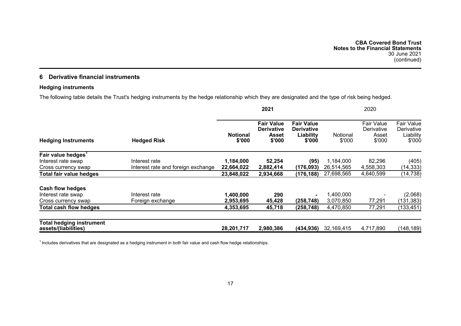## **6 Derivative financial instruments**

## **Hedging instruments**

The following table details the Trust's hedging instruments by the hedge relationship which they are designated and the type of risk being hedged.

<span id="page-18-0"></span>

|                                                         |                                    | 2021                      |                                                           |                                                               | 2020               |                                                    |                                                 |
|---------------------------------------------------------|------------------------------------|---------------------------|-----------------------------------------------------------|---------------------------------------------------------------|--------------------|----------------------------------------------------|-------------------------------------------------|
| <b>Hedging Instruments</b>                              | <b>Hedged Risk</b>                 | <b>Notional</b><br>\$'000 | <b>Fair Value</b><br><b>Derivative</b><br>Asset<br>\$'000 | <b>Fair Value</b><br><b>Derivative</b><br>Liability<br>\$'000 | Notional<br>\$'000 | <b>Fair Value</b><br>Derivative<br>Asset<br>\$'000 | Fair Value<br>Derivative<br>Liability<br>\$'000 |
| Fair value hedges                                       |                                    |                           |                                                           |                                                               |                    |                                                    |                                                 |
| Interest rate swap                                      | Interest rate                      | 1,184,000                 | 52,254                                                    | (95)                                                          | 1,184,000          | 82,296                                             | (405)                                           |
| Cross currency swap                                     | Interest rate and foreign exchange | 22,664,022                | 2,882,414                                                 | (176,093)                                                     | 26,514,565         | 4,558,303                                          | (14,333)                                        |
| Total fair value hedges                                 |                                    | 23,848,022                | 2,934,668                                                 | (176,188)                                                     | 27,698,565         | 4,640,599                                          | (14, 738)                                       |
| <b>Cash flow hedges</b>                                 |                                    |                           |                                                           |                                                               |                    |                                                    |                                                 |
| Interest rate swap                                      | Interest rate                      | 1,400,000                 | 290                                                       |                                                               | 1,400,000          |                                                    | (2,068)                                         |
| Cross currency swap                                     | Foreign exchange                   | 2,953,695                 | 45,428                                                    | (258, 748)                                                    | 3,070,850          | 77,291                                             | (131, 383)                                      |
| Total cash flow hedges                                  |                                    | 4,353,695                 | 45,718                                                    | (258,748)                                                     | 4,470,850          | 77,291                                             | (133, 451)                                      |
| <b>Total hedging instrument</b><br>assets/(liabilities) |                                    | 28,201,717                | 2,980,386                                                 | (434,936)                                                     | 32,169,415         | 4,717,890                                          | (148, 189)                                      |

<sup>1</sup> Includes derivatives that are designated as a hedging instrument in both fair value and cash flow hedge relationships.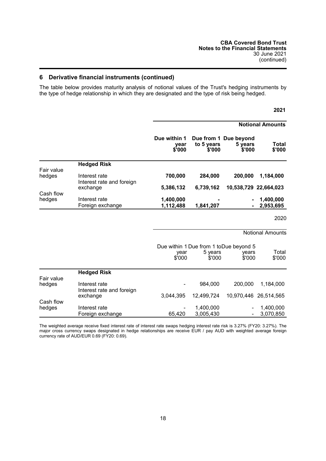## **6 Derivative financial instruments (continued)**

The table below provides maturity analysis of notional values of the Trust's hedging instruments by the type of hedge relationship in which they are designated and the type of risk being hedged.

|            |                                            |                                |                      |                                            | <b>Notional Amounts</b> |
|------------|--------------------------------------------|--------------------------------|----------------------|--------------------------------------------|-------------------------|
|            |                                            | Due within 1<br>year<br>\$'000 | to 5 years<br>\$'000 | Due from 1 Due beyond<br>5 years<br>\$'000 | Total<br>\$'000         |
|            | <b>Hedged Risk</b>                         |                                |                      |                                            |                         |
| Fair value |                                            |                                |                      |                                            |                         |
| hedges     | Interest rate<br>Interest rate and foreign | 700,000                        | 284,000              | 200,000                                    | 1,184,000               |
|            | exchange                                   | 5,386,132                      | 6,739,162            | 10,538,729 22,664,023                      |                         |
| Cash flow  |                                            |                                |                      |                                            |                         |
| hedges     | Interest rate                              | 1,400,000                      |                      | $\blacksquare$                             | 1,400,000               |
|            | Foreign exchange                           | 1,112,488                      | 1,841,207            | $\blacksquare$                             | 2,953,695               |

Notional Amounts

**2021**

|            |                                            | year<br>\$'000 | Due within 1 Due from 1 to Due beyond 5<br>5 years<br>\$'000 | years<br>\$'000              | Total<br>\$'000       |
|------------|--------------------------------------------|----------------|--------------------------------------------------------------|------------------------------|-----------------------|
|            | <b>Hedged Risk</b>                         |                |                                                              |                              |                       |
| Fair value |                                            |                |                                                              |                              |                       |
| hedges     | Interest rate<br>Interest rate and foreign |                | 984.000                                                      | 200,000                      | 1.184.000             |
|            | exchange                                   | 3,044,395      | 12,499,724                                                   |                              | 10,970,446 26,514,565 |
| Cash flow  |                                            |                |                                                              |                              |                       |
| hedges     | Interest rate                              |                | 1,400,000                                                    | -                            | 1,400,000             |
|            | Foreign exchange                           | 65,420         | 3,005,430                                                    | $\qquad \qquad \blacksquare$ | 3,070,850             |

The weighted average receive fixed interest rate of interest rate swaps hedging interest rate risk is 3.27% (FY20: 3.27%). The major cross currency swaps designated in hedge relationships are receive EUR / pay AUD with weighted average foreign currency rate of AUD/EUR 0.69 (FY20: 0.69).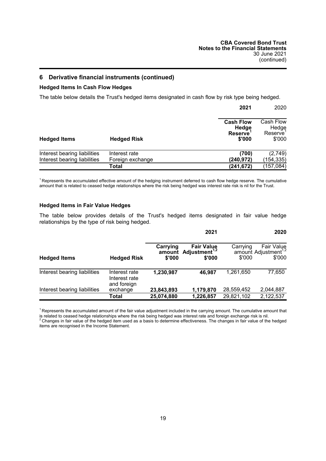## **6 Derivative financial instruments (continued)**

## **Hedged Items In Cash Flow Hedges**

The table below details the Trust's hedged items designated in cash flow by risk type being hedged.

|                                                              |                                   | 2021                                                  | 2020                                    |
|--------------------------------------------------------------|-----------------------------------|-------------------------------------------------------|-----------------------------------------|
| <b>Hedged Items</b>                                          | <b>Hedged Risk</b>                | <b>Cash Flow</b><br>Hedge<br><b>Reserve</b><br>\$'000 | Cash Flow<br>Hedge<br>Reserve<br>\$'000 |
| Interest bearing liabilities<br>Interest bearing liabilities | Interest rate<br>Foreign exchange | (700)<br>(240,972)                                    | (2,749)<br>(154, 335)                   |
|                                                              | Total                             | (241, 672)                                            | (157, 084)                              |

<sup>1</sup> Represents the accumulated effective amount of the hedging instrument deferred to cash flow hedge reserve. The cumulative amount that is related to ceased hedge relationships where the risk being hedged was interest rate risk is nil for the Trust.

#### **Hedged Items in Fair Value Hedges**

The table below provides details of the Trust's hedged items designated in fair value hedge relationships by the type of risk being hedged.

|                              |                                               |                    | 2021                                                   |                    | 2020                                                            |
|------------------------------|-----------------------------------------------|--------------------|--------------------------------------------------------|--------------------|-----------------------------------------------------------------|
| <b>Hedged Items</b>          | <b>Hedged Risk</b>                            | Carrying<br>\$'000 | <b>Fair Value</b><br>amount Adjustment $1,2$<br>\$'000 | Carrying<br>\$'000 | <b>Fair Value</b><br>amount Adjustment <sup>1,2</sup><br>\$'000 |
| Interest bearing liabilities | Interest rate<br>Interest rate<br>and foreign | 1,230,987          | 46.987                                                 | 1.261.650          | 77,650                                                          |
| Interest bearing liabilities | exchange                                      | 23,843,893         | 1,179,870                                              | 28,559,452         | 2,044,887                                                       |
|                              | Total                                         | 25,074,880         | 1,226,857                                              | 29,821,102         | 2,122,537                                                       |

 $1$  Represents the accumulated amount of the fair value adjustment included in the carrying amount. The cumulative amount that is related to ceased hedge relationships where the risk being hedged was interest rate and foreign exchange risk is nil.<br><sup>2</sup> Changes in fair value of the hedged item used as a basis to determine effectiveness. The changes items are recognised in the Income Statement.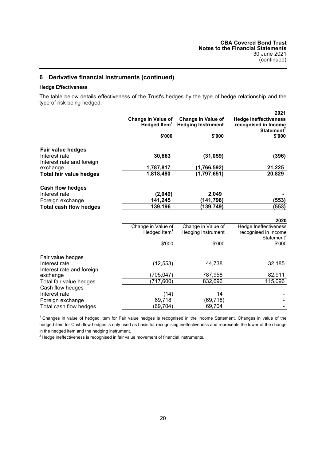## **6 Derivative financial instruments (continued)**

## **Hedge Effectiveness**

The table below details effectiveness of the Trust's hedges by the type of hedge relationship and the type of risk being hedged.

| Change in Value of<br><b>Change in Value of</b><br><b>Hedge Ineffectiveness</b><br>Hedged Item <sup>1</sup><br><b>Hedging Instrument</b><br>recognised in Income | 2021<br>Statement <sup>2</sup> |
|------------------------------------------------------------------------------------------------------------------------------------------------------------------|--------------------------------|
|                                                                                                                                                                  |                                |
| \$'000<br>\$'000                                                                                                                                                 | \$'000                         |
| <b>Fair value hedges</b>                                                                                                                                         |                                |
| Interest rate<br>30,663<br>(31, 059)                                                                                                                             | (396)                          |
| Interest rate and foreign<br>1,787,817<br>(1,766,592)<br>exchange                                                                                                | 21,225                         |
| 1,818,480<br>(1,797,651)<br><b>Total fair value hedges</b>                                                                                                       | 20,829                         |
|                                                                                                                                                                  |                                |
| <b>Cash flow hedges</b>                                                                                                                                          |                                |
| Interest rate<br>(2,049)<br>2,049                                                                                                                                |                                |
| (141,798)<br>141,245<br>Foreign exchange                                                                                                                         | (553)                          |
| 139,196<br>(139, 749)<br><b>Total cash flow hedges</b>                                                                                                           | (553)                          |
|                                                                                                                                                                  |                                |
|                                                                                                                                                                  | 2020                           |
| Change in Value of<br>Change in Value of<br><b>Hedge Ineffectiveness</b>                                                                                         |                                |
| Hedged Item $1$<br>recognised in Income<br><b>Hedging Instrument</b>                                                                                             | Statement <sup>2</sup>         |
| \$'000<br>\$'000                                                                                                                                                 | \$'000                         |
|                                                                                                                                                                  |                                |
| Fair value hedges                                                                                                                                                |                                |
| Interest rate<br>(12, 553)<br>44,738                                                                                                                             | 32,185                         |
| Interest rate and foreign                                                                                                                                        |                                |
| (705, 047)<br>787,958<br>exchange                                                                                                                                | 82,911                         |
| Total fair value hedges<br>(717, 600)<br>832,696                                                                                                                 | 115,096                        |
| Cash flow hedges<br>Interest rate<br>14                                                                                                                          |                                |
| (14)<br>69,718<br>(69, 718)<br>Foreign exchange                                                                                                                  |                                |
| (69, 704)<br>69,704<br>Total cash flow hedges                                                                                                                    |                                |

<sup>1</sup> Changes in value of hedged item for Fair value hedges is recognised in the Income Statement. Changes in value of the hedged item for Cash flow hedges is only used as basis for recognising ineffectiveness and represents the lower of the change in the hedged item and the hedging instrument.

<sup>2</sup> Hedge ineffectiveness is recognised in fair value movement of financial instruments.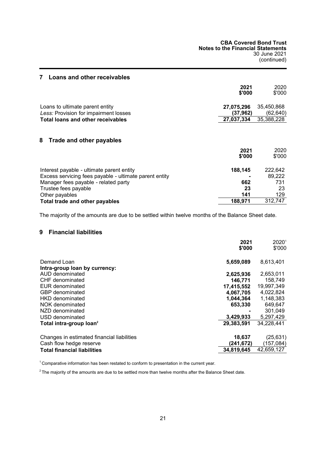<span id="page-22-1"></span><span id="page-22-0"></span>

| 7<br>Loans and other receivables                       |                |                |
|--------------------------------------------------------|----------------|----------------|
|                                                        | 2021           | 2020           |
|                                                        | \$'000         | \$'000         |
| Loans to ultimate parent entity                        | 27,075,296     | 35,450,868     |
| Less: Provision for impairment losses                  | (37.962)       | (62,640)       |
| <b>Total loans and other receivables</b>               | 27,037,334     | 35,388,228     |
| 8<br>Trade and other payables                          | 2021<br>\$'000 | 2020<br>\$'000 |
| Interest payable - ultimate parent entity              | 188,145        | 222,642        |
| Excess servicing fees payable - ultimate parent entity |                | 89,222         |
| Manager fees payable - related party                   | 662            | 731            |
| Trustee fees payable                                   | 23             | 23             |
| Other payables                                         | 141            | 129            |
| Total trade and other payables                         | 188,971        | 312,747        |

<span id="page-22-2"></span>The majority of the amounts are due to be settled within twelve months of the Balance Sheet date.

## **9 Financial liabilities**

|                                            | 2021<br>\$'000 | $2020^1$<br>\$'000 |
|--------------------------------------------|----------------|--------------------|
| Demand Loan                                | 5,659,089      | 8,613,401          |
| Intra-group loan by currency:              |                |                    |
| AUD denominated                            | 2,625,936      | 2,653,011          |
| CHF denominated                            | 146,771        | 158.749            |
| EUR denominated                            | 17,415,552     | 19,997,349         |
| <b>GBP</b> denominated                     | 4,067,705      | 4,022,824          |
| HKD denominated                            | 1.044.364      | 1.148.383          |
| NOK denominated                            | 653,330        | 649,647            |
| NZD denominated                            |                | 301.049            |
| USD denominated                            | 3,429,933      | 5,297,429          |
| Total intra-group loan <sup>2</sup>        | 29,383,591     | 34,228,441         |
| Changes in estimated financial liabilities | 18,637         | (25, 631)          |
| Cash flow hedge reserve                    | (241,672)      | (157,084)          |
| <b>Total financial liabilities</b>         | 34,819,645     | 42,659,127         |

<sup>1</sup> Comparative information has been restated to conform to presentation in the current year.

 $2$  The majority of the amounts are due to be settled more than twelve months after the Balance Sheet date.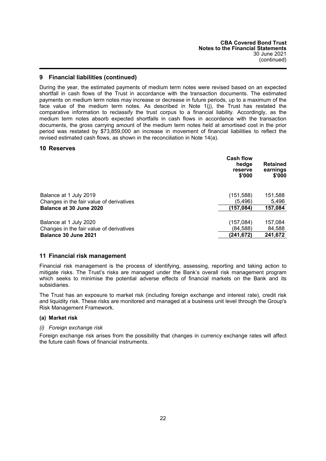## **9 Financial liabilities (continued)**

During the year, the estimated payments of medium term notes were revised based on an expected shortfall in cash flows of the Trust in accordance with the transaction documents. The estimated payments on medium term notes may increase or decrease in future periods, up to a maximum of the face value of the medium term notes. As described in Note 1(j), the Trust has restated the comparative information to reclassify the trust corpus to a financial liability. Accordingly, as the medium term notes absorb expected shortfalls in cash flows in accordance with the transaction documents, the gross carrying amount of the medium term notes held at amortised cost in the prior period was restated by \$73,859,000 an increase in movement of financial liabilities to reflect the revised estimated cash flows, as shown in the reconciliation in Note 14(a).

#### <span id="page-23-0"></span>**10 Reserves**

|                                          | <b>Cash flow</b><br>hedge<br>reserve<br>\$'000 | <b>Retained</b><br>earnings<br>\$'000 |
|------------------------------------------|------------------------------------------------|---------------------------------------|
| Balance at 1 July 2019                   | (151, 588)                                     | 151,588                               |
| Changes in the fair value of derivatives | (5,496)                                        | 5,496                                 |
| Balance at 30 June 2020                  | (157, 084)                                     | 157,084                               |
| Balance at 1 July 2020                   | (157,084)                                      | 157,084                               |
| Changes in the fair value of derivatives | (84,588)                                       | 84,588                                |
| Balance 30 June 2021                     | (241.672)                                      | 241.672                               |

#### **11 Financial risk management**

Financial risk management is the process of identifying, assessing, reporting and taking action to mitigate risks. The Trust's risks are managed under the Bank's overall risk management program which seeks to minimise the potential adverse effects of financial markets on the Bank and its subsidiaries.

The Trust has an exposure to market risk (including foreign exchange and interest rate), credit risk and liquidity risk. These risks are monitored and managed at a business unit level through the Group's Risk Management Framework.

#### **(a) Market risk**

#### *(i) Foreign exchange risk*

Foreign exchange risk arises from the possibility that changes in currency exchange rates will affect the future cash flows of financial instruments.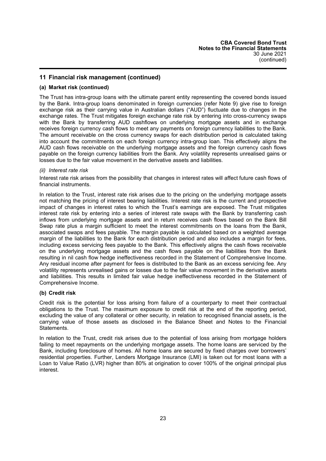### **(a) Market risk (continued)**

The Trust has intra-group loans with the ultimate parent entity representing the covered bonds issued by the Bank. Intra-group loans denominated in foreign currencies (refer Note 9) give rise to foreign exchange risk as their carrying value in Australian dollars ("AUD") fluctuate due to changes in the exchange rates. The Trust mitigates foreign exchange rate risk by entering into cross-currency swaps with the Bank by transferring AUD cashflows on underlying mortgage assets and in exchange receives foreign currency cash flows to meet any payments on foreign currency liabilities to the Bank. The amount receivable on the cross currency swaps for each distribution period is calculated taking into account the commitments on each foreign currency intra-group loan. This effectively aligns the AUD cash flows receivable on the underlying mortgage assets and the foreign currency cash flows payable on the foreign currency liabilities from the Bank. Any volatility represents unrealised gains or losses due to the fair value movement in the derivative assets and liabilities.

#### *(ii) Interest rate risk*

Interest rate risk arises from the possibility that changes in interest rates will affect future cash flows of financial instruments.

In relation to the Trust, interest rate risk arises due to the pricing on the underlying mortgage assets not matching the pricing of interest bearing liabilities. Interest rate risk is the current and prospective impact of changes in interest rates to which the Trust's earnings are exposed. The Trust mitigates interest rate risk by entering into a series of interest rate swaps with the Bank by transferring cash inflows from underlying mortgage assets and in return receives cash flows based on the Bank Bill Swap rate plus a margin sufficient to meet the interest commitments on the loans from the Bank, associated swaps and fees payable. The margin payable is calculated based on a weighted average margin of the liabilities to the Bank for each distribution period and also includes a margin for fees, including excess servicing fees payable to the Bank. This effectively aligns the cash flows receivable on the underlying mortgage assets and the cash flows payable on the liabilities from the Bank resulting in nil cash flow hedge ineffectiveness recorded in the Statement of Comprehensive Income. Any residual income after payment for fees is distributed to the Bank as an excess servicing fee. Any volatility represents unrealised gains or losses due to the fair value movement in the derivative assets and liabilities. This results in limited fair value hedge ineffectiveness recorded in the Statement of Comprehensive Income.

#### **(b) Credit risk**

Credit risk is the potential for loss arising from failure of a counterparty to meet their contractual obligations to the Trust. The maximum exposure to credit risk at the end of the reporting period, excluding the value of any collateral or other security, in relation to recognised financial assets, is the carrying value of those assets as disclosed in the Balance Sheet and Notes to the Financial Statements.

In relation to the Trust, credit risk arises due to the potential of loss arising from mortgage holders failing to meet repayments on the underlying mortgage assets. The home loans are serviced by the Bank, including foreclosure of homes. All home loans are secured by fixed charges over borrowers' residential properties. Further, Lenders Mortgage Insurance (LMI) is taken out for most loans with a Loan to Value Ratio (LVR) higher than 80% at origination to cover 100% of the original principal plus interest.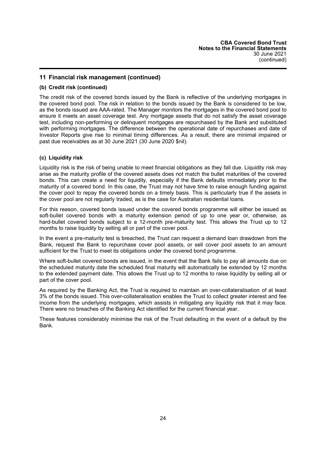#### **(b) Credit risk (continued)**

The credit risk of the covered bonds issued by the Bank is reflective of the underlying mortgages in the covered bond pool. The risk in relation to the bonds issued by the Bank is considered to be low, as the bonds issued are AAA-rated. The Manager monitors the mortgages in the covered bond pool to ensure it meets an asset coverage test. Any mortgage assets that do not satisfy the asset coverage test, including non-performing or delinquent mortgages are repurchased by the Bank and substituted with performing mortgages. The difference between the operational date of repurchases and date of Investor Reports give rise to minimal timing differences. As a result, there are minimal impaired or past due receivables as at 30 June 2021 (30 June 2020 \$nil).

## **(c) Liquidity risk**

Liquidity risk is the risk of being unable to meet financial obligations as they fall due. Liquidity risk may arise as the maturity profile of the covered assets does not match the bullet maturities of the covered bonds. This can create a need for liquidity, especially if the Bank defaults immediately prior to the maturity of a covered bond. In this case, the Trust may not have time to raise enough funding against the cover pool to repay the covered bonds on a timely basis. This is particularly true if the assets in the cover pool are not regularly traded, as is the case for Australian residential loans.

For this reason, covered bonds issued under the covered bonds programme will either be issued as soft-bullet covered bonds with a maturity extension period of up to one year or, otherwise, as hard-bullet covered bonds subject to a 12-month pre-maturity test. This allows the Trust up to 12 months to raise liquidity by selling all or part of the cover pool.

In the event a pre-maturity test is breached, the Trust can request a demand loan drawdown from the Bank, request the Bank to repurchase cover pool assets, or sell cover pool assets to an amount sufficient for the Trust to meet its obligations under the covered bond programme.

Where soft-bullet covered bonds are issued, in the event that the Bank fails to pay all amounts due on the scheduled maturity date the scheduled final maturity will automatically be extended by 12 months to the extended payment date. This allows the Trust up to 12 months to raise liquidity by selling all or part of the cover pool.

As required by the Banking Act, the Trust is required to maintain an over-collateralisation of at least 3% of the bonds issued. This over-collateralisation enables the Trust to collect greater interest and fee income from the underlying mortgages, which assists in mitigating any liquidity risk that it may face. There were no breaches of the Banking Act identified for the current financial year.

These features considerably minimise the risk of the Trust defaulting in the event of a default by the Bank.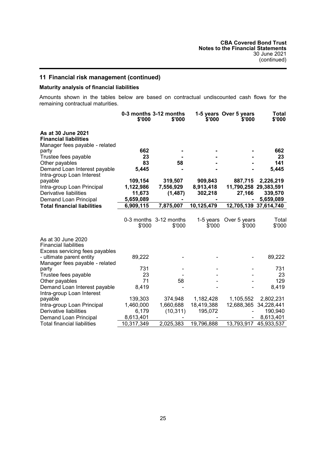## **Maturity analysis of financial liabilities**

Amounts shown in the tables below are based on contractual undiscounted cash flows for the remaining contractual maturities.

|                                                                                      | \$'000     | 0-3 months 3-12 months<br>\$'000 | \$'000              | 1-5 years Over 5 years<br>\$'000 | Total<br>\$'000 |
|--------------------------------------------------------------------------------------|------------|----------------------------------|---------------------|----------------------------------|-----------------|
| As at 30 June 2021<br><b>Financial liabilities</b><br>Manager fees payable - related |            |                                  |                     |                                  |                 |
| party                                                                                | 662        |                                  |                     |                                  | 662             |
| Trustee fees payable                                                                 | 23         |                                  |                     |                                  | 23              |
| Other payables                                                                       | 83         | 58                               |                     |                                  | 141             |
| Demand Loan Interest payable<br>Intra-group Loan Interest                            | 5,445      |                                  |                     |                                  | 5,445           |
| payable                                                                              | 109,154    | 319,507                          | 909,843             | 887,715                          | 2,226,219       |
| Intra-group Loan Principal                                                           | 1,122,986  | 7,556,929                        | 8,913,418           | 11,790,258 29,383,591            |                 |
| Derivative liabilities                                                               | 11,673     | (1,487)                          | 302,218             | 27,166                           | 339,570         |
| Demand Loan Principal                                                                | 5,659,089  |                                  |                     |                                  | 5,659,089       |
| <b>Total financial liabilities</b>                                                   | 6,909,115  | 7,875,007                        | 10,125,479          | 12,705,139 37,614,740            |                 |
|                                                                                      |            |                                  |                     |                                  |                 |
|                                                                                      | \$'000     | 0-3 months 3-12 months<br>\$'000 | 1-5 years<br>\$'000 | Over 5 years<br>\$'000           | Total<br>\$'000 |
| As at 30 June 2020<br><b>Financial liabilities</b>                                   |            |                                  |                     |                                  |                 |
| Excess servicing fees payables                                                       |            |                                  |                     |                                  |                 |
| - ultimate parent entity                                                             | 89,222     |                                  |                     |                                  | 89,222          |
| Manager fees payable - related                                                       |            |                                  |                     |                                  |                 |
| party                                                                                | 731        |                                  |                     |                                  | 731             |
| Trustee fees payable                                                                 | 23         |                                  |                     |                                  | 23              |
| Other payables                                                                       | 71         | 58                               |                     |                                  | 129             |
| Demand Loan Interest payable                                                         | 8,419      |                                  |                     |                                  | 8,419           |
| Intra-group Loan Interest                                                            |            |                                  |                     |                                  |                 |
| payable                                                                              | 139,303    | 374,948                          | 1,182,428           | 1,105,552                        | 2,802,231       |
| Intra-group Loan Principal                                                           | 1,460,000  | 1,660,688                        | 18,419,388          | 12,688,365                       | 34,228,441      |
| Derivative liabilities                                                               | 6,179      | (10, 311)                        | 195,072             |                                  | 190,940         |
| Demand Loan Principal                                                                | 8,613,401  |                                  |                     |                                  | 8,613,401       |
| <b>Total financial liabilities</b>                                                   | 10,317,349 | 2,025,383                        | 19,796,888          | 13,793,917                       | 45,933,537      |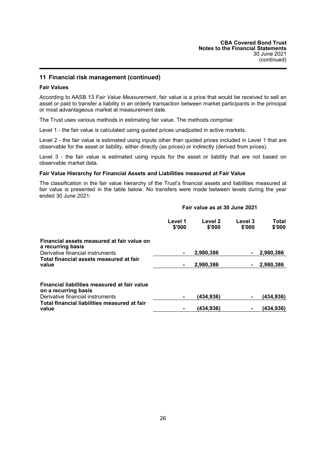### **Fair Values**

According to AASB 13 *Fair Value Measurement*, fair value is a price that would be received to sell an asset or paid to transfer a liability in an orderly transaction between market participants in the principal or most advantageous market at measurement date.

The Trust uses various methods in estimating fair value. The methods comprise:

Level 1 - the fair value is calculated using quoted prices unadjusted in active markets.

Level 2 - the fair value is estimated using inputs other than quoted prices included in Level 1 that are observable for the asset or liability, either directly (as prices) or indirectly (derived from prices).

Level 3 - the fair value is estimated using inputs for the asset or liability that are not based on observable market data.

#### **Fair Value Hierarchy for Financial Assets and Liabilities measured at Fair Value**

The classification in the fair value hierarchy of the Trust's financial assets and liabilities measured at fair value is presented in the table below. No transfers were made between levels during the year ended 30 June 2021:

## **Fair value as at 30 June 2021**

|                                                                      | Level 1<br>\$'000 | Level 2<br>\$'000 | Level 3<br>\$'000 | Total<br>\$'000 |
|----------------------------------------------------------------------|-------------------|-------------------|-------------------|-----------------|
| Financial assets measured at fair value on<br>a recurring basis      |                   |                   |                   |                 |
| Derivative financial instruments                                     | $\blacksquare$    | 2,980,386         | ۰.                | 2,980,386       |
| Total financial assets measured at fair<br>value                     | $\blacksquare$    | 2,980,386         |                   | 2,980,386       |
| Financial liabilities measured at fair value<br>on a recurring basis |                   |                   |                   |                 |
| Derivative financial instruments                                     |                   | (434,936)         |                   | (434,936)       |
| Total financial liabilities measured at fair<br>value                |                   | (434.936)         |                   | (434,936)       |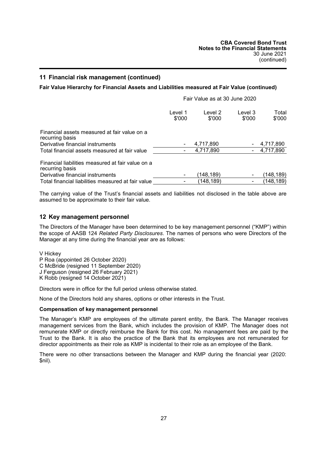## **Fair Value Hierarchy for Financial Assets and Liabilities measured at Fair Value (continued)**

|                                                                      | Fair Value as at 30 June 2020 |                   |                   |                 |
|----------------------------------------------------------------------|-------------------------------|-------------------|-------------------|-----------------|
|                                                                      | Level 1<br>\$'000             | Level 2<br>\$'000 | Level 3<br>\$'000 | Total<br>\$'000 |
| Financial assets measured at fair value on a<br>recurring basis      |                               |                   |                   |                 |
| Derivative financial instruments                                     |                               | 4,717,890         |                   | 4,717,890       |
| Total financial assets measured at fair value                        |                               | 4,717,890         |                   | 4,717,890       |
| Financial liabilities measured at fair value on a<br>recurring basis |                               |                   |                   |                 |
| Derivative financial instruments                                     |                               | (148,189)         |                   | (148,189)       |
| Total financial liabilities measured at fair value                   |                               | (148, 189)        |                   | (148,189)       |

The carrying value of the Trust's financial assets and liabilities not disclosed in the table above are assumed to be approximate to their fair value.

#### **12 Key management personnel**

The Directors of the Manager have been determined to be key management personnel ("KMP") within the scope of AASB 124 *Related Party Disclosures*. The names of persons who were Directors of the Manager at any time during the financial year are as follows:

V Hickey P Roa (appointed 26 October 2020) C McBride (resigned 11 September 2020) J Ferguson (resigned 26 February 2021)

K Robb (resigned 14 October 2021)

Directors were in office for the full period unless otherwise stated.

None of the Directors hold any shares, options or other interests in the Trust.

#### **Compensation of key management personnel**

The Manager's KMP are employees of the ultimate parent entity, the Bank. The Manager receives management services from the Bank, which includes the provision of KMP. The Manager does not remunerate KMP or directly reimburse the Bank for this cost. No management fees are paid by the Trust to the Bank. It is also the practice of the Bank that its employees are not remunerated for director appointments as their role as KMP is incidental to their role as an employee of the Bank.

There were no other transactions between the Manager and KMP during the financial year (2020: \$nil).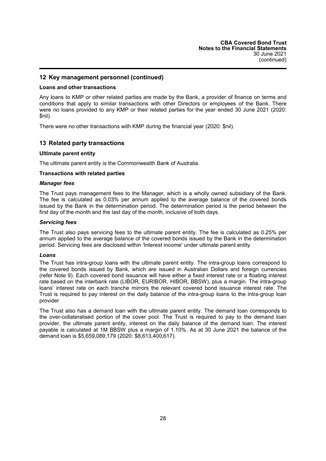## **12 Key management personnel (continued)**

#### **Loans and other transactions**

Any loans to KMP or other related parties are made by the Bank, a provider of finance on terms and conditions that apply to similar transactions with other Directors or employees of the Bank. There were no loans provided to any KMP or their related parties for the year ended 30 June 2021 (2020: \$nil).

There were no other transactions with KMP during the financial year (2020: \$nil).

## **13 Related party transactions**

#### **Ultimate parent entity**

The ultimate parent entity is the Commonwealth Bank of Australia.

#### **Transactions with related parties**

#### *Manager fees*

The Trust pays management fees to the Manager, which is a wholly owned subsidiary of the Bank. The fee is calculated as 0.03% per annum applied to the average balance of the covered bonds issued by the Bank in the determination period. The determination period is the period between the first day of the month and the last day of the month, inclusive of both days.

#### *Servicing fees*

The Trust also pays servicing fees to the ultimate parent entity. The fee is calculated as 0.25% per annum applied to the average balance of the covered bonds issued by the Bank in the determination period. Servicing fees are disclosed within 'Interest income' under ultimate parent entity.

#### *Loans*

The Trust has intra-group loans with the ultimate parent entity. The intra-group loans correspond to the covered bonds issued by Bank, which are issued in Australian Dollars and foreign currencies (refer Note 9). Each covered bond issuance will have either a fixed interest rate or a floating interest rate based on the interbank rate (LIBOR, EURIBOR, HIBOR, BBSW), plus a margin. The intra-group loans' interest rate on each tranche mirrors the relevant covered bond issuance interest rate. The Trust is required to pay interest on the daily balance of the intra-group loans to the intra-group loan provider

The Trust also has a demand loan with the ultimate parent entity. The demand loan corresponds to the over-collateralised portion of the cover pool. The Trust is required to pay to the demand loan provider, the ultimate parent entity, interest on the daily balance of the demand loan. The interest payable is calculated at 1M BBSW plus a margin of 1.10%. As at 30 June 2021 the balance of the demand loan is \$5,659,089,179 (2020: \$8,613,400,617).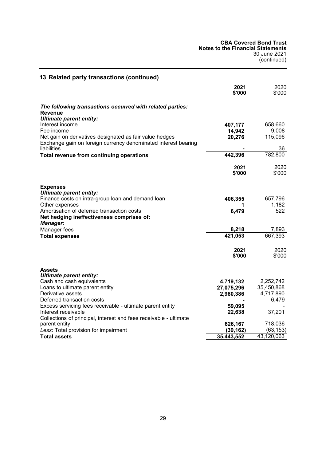**CBA Covered Bond Trust Notes to the Financial Statements** 30 June 2021 (continued)

| 13 Related party transactions (continued)                                                                                 |                      |                      |
|---------------------------------------------------------------------------------------------------------------------------|----------------------|----------------------|
|                                                                                                                           | 2021<br>\$'000       | 2020<br>\$'000       |
| The following transactions occurred with related parties:<br><b>Revenue</b>                                               |                      |                      |
| <b>Ultimate parent entity:</b>                                                                                            |                      |                      |
| Interest income                                                                                                           | 407,177              | 658,660              |
| Fee income                                                                                                                | 14,942               | 9,008                |
| Net gain on derivatives designated as fair value hedges<br>Exchange gain on foreign currency denominated interest bearing | 20,276               | 115,096              |
| liabilities                                                                                                               |                      | 36                   |
| Total revenue from continuing operations                                                                                  | 442,396              | 782,800              |
|                                                                                                                           | 2021<br>\$'000       | 2020<br>\$'000       |
| <b>Expenses</b><br><b>Ultimate parent entity:</b>                                                                         |                      |                      |
| Finance costs on intra-group loan and demand loan                                                                         | 406,355              | 657,796              |
| Other expenses                                                                                                            | 1                    | 1,182                |
| Amortisation of deferred transaction costs<br>Net hedging ineffectiveness comprises of:                                   | 6,479                | 522                  |
| <b>Manager:</b><br>Manager fees                                                                                           | 8,218                | 7,893                |
| <b>Total expenses</b>                                                                                                     | 421,053              | 667,393              |
|                                                                                                                           |                      |                      |
|                                                                                                                           | 2021<br>\$'000       | 2020<br>\$'000       |
|                                                                                                                           |                      |                      |
| <b>Assets</b><br><b>Ultimate parent entity:</b>                                                                           |                      |                      |
| Cash and cash equivalents                                                                                                 | 4,719,132            | 2,252,742            |
| Loans to ultimate parent entity                                                                                           | 27,075,296           | 35,450,868           |
| Derivative assets                                                                                                         | 2,980,386            | 4,717,890            |
| Deferred transaction costs                                                                                                |                      | 6,479                |
| Excess servicing fees receivable - ultimate parent entity                                                                 | 59,095               |                      |
| Interest receivable                                                                                                       | 22,638               | 37,201               |
| Collections of principal, interest and fees receivable - ultimate                                                         |                      |                      |
| parent entity<br>Less: Total provision for impairment                                                                     | 626,167<br>(39, 162) | 718,036<br>(63, 153) |
| <b>Total assets</b>                                                                                                       | 35,443,552           | 43,120,063           |
|                                                                                                                           |                      |                      |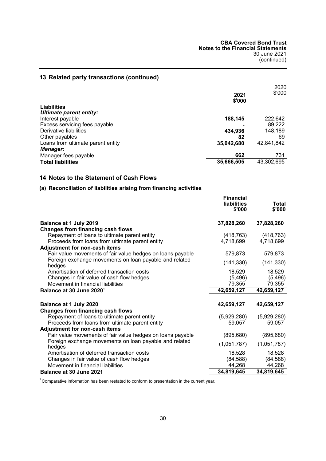## **13 Related party transactions (continued)**

|                                   |            | 2020       |
|-----------------------------------|------------|------------|
|                                   | 2021       | \$'000     |
|                                   | \$'000     |            |
| <b>Liabilities</b>                |            |            |
| Ultimate parent entity:           |            |            |
| Interest payable                  | 188,145    | 222,642    |
| Excess servicing fees payable     |            | 89,222     |
| Derivative liabilities            | 434,936    | 148,189    |
| Other payables                    | 82         | 69         |
| Loans from ultimate parent entity | 35,042,680 | 42,841,842 |
| <b>Manager:</b>                   |            |            |
| Manager fees payable              | 662        | 731        |
| <b>Total liabilities</b>          | 35,666,505 | 43,302,695 |

## <span id="page-31-0"></span>**14 Notes to the Statement of Cash Flows**

## **(a) Reconciliation of liabilities arising from financing activities**

|                                                                  | <b>Financial</b><br><b>liabilities</b><br>\$'000 | Total<br>\$'000 |
|------------------------------------------------------------------|--------------------------------------------------|-----------------|
| Balance at 1 July 2019                                           | 37,828,260                                       | 37,828,260      |
| Changes from financing cash flows                                |                                                  |                 |
| Repayment of loans to ultimate parent entity                     | (418, 763)                                       | (418, 763)      |
| Proceeds from loans from ultimate parent entity                  | 4,718,699                                        | 4,718,699       |
| <b>Adjustment for non-cash items</b>                             |                                                  |                 |
| Fair value movements of fair value hedges on loans payable       | 579,873                                          | 579,873         |
| Foreign exchange movements on loan payable and related<br>hedges | (141, 330)                                       | (141, 330)      |
| Amortisation of deferred transaction costs                       | 18,529                                           | 18,529          |
| Changes in fair value of cash flow hedges                        | (5, 496)                                         | (5, 496)        |
| Movement in financial liabilities                                | 79,355                                           | 79,355          |
| Balance at 30 June 2020 <sup>1</sup>                             | 42,659,127                                       | 42,659,127      |
| Balance at 1 July 2020                                           | 42,659,127                                       | 42,659,127      |
| <b>Changes from financing cash flows</b>                         |                                                  |                 |
| Repayment of loans to ultimate parent entity                     | (5,929,280)                                      | (5,929,280)     |
| Proceeds from loans from ultimate parent entity                  | 59,057                                           | 59,057          |
| Adjustment for non-cash items                                    |                                                  |                 |
| Fair value movements of fair value hedges on loans payable       | (895, 680)                                       | (895, 680)      |
| Foreign exchange movements on loan payable and related<br>hedges | (1,051,787)                                      | (1,051,787)     |
| Amortisation of deferred transaction costs                       | 18,528                                           | 18,528          |
| Changes in fair value of cash flow hedges                        | (84, 588)                                        | (84, 588)       |
| Movement in financial liabilities                                | 44,268                                           | 44,268          |
| Balance at 30 June 2021                                          | 34,819,645                                       | 34,819,645      |

<sup>1</sup> Comparative information has been restated to conform to presentation in the current year.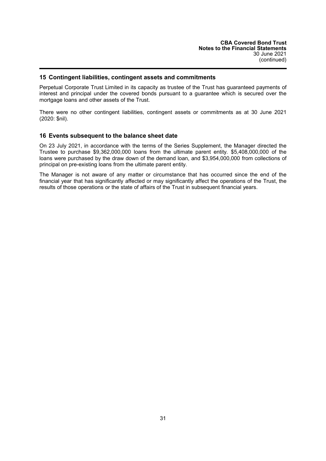### **15 Contingent liabilities, contingent assets and commitments**

Perpetual Corporate Trust Limited in its capacity as trustee of the Trust has guaranteed payments of interest and principal under the covered bonds pursuant to a guarantee which is secured over the mortgage loans and other assets of the Trust.

There were no other contingent liabilities, contingent assets or commitments as at 30 June 2021 (2020: \$nil).

#### **16 Events subsequent to the balance sheet date**

On 23 July 2021, in accordance with the terms of the Series Supplement, the Manager directed the Trustee to purchase \$9,362,000,000 loans from the ultimate parent entity. \$5,408,000,000 of the loans were purchased by the draw down of the demand loan, and \$3,954,000,000 from collections of principal on pre-existing loans from the ultimate parent entity.

The Manager is not aware of any matter or circumstance that has occurred since the end of the financial year that has significantly affected or may significantly affect the operations of the Trust, the results of those operations or the state of affairs of the Trust in subsequent financial years.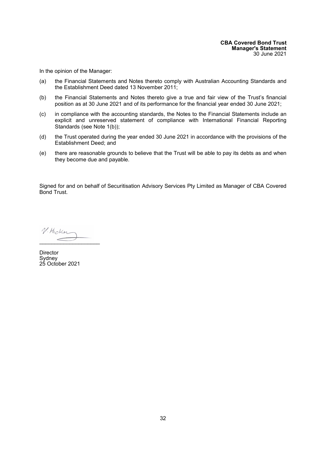<span id="page-33-0"></span>In the opinion of the Manager:

- (a) the Financial Statements and Notes thereto comply with Australian Accounting Standards and the Establishment Deed dated 13 November 2011;
- (b) the Financial Statements and Notes thereto give a true and fair view of the Trust's financial position as at 30 June 2021 and of its performance for the financial year ended 30 June 2021;
- (c) in compliance with the accounting standards, the Notes to the Financial Statements include an explicit and unreserved statement of compliance with International Financial Reporting Standards (see Note 1(b));
- (d) the Trust operated during the year ended 30 June 2021 in accordance with the provisions of the Establishment Deed; and
- (e) there are reasonable grounds to believe that the Trust will be able to pay its debts as and when they become due and payable.

Signed for and on behalf of Securitisation Advisory Services Pty Limited as Manager of CBA Covered Bond Trust.

 $V.Hocker$ 

**Director** Sydney 25 October 2021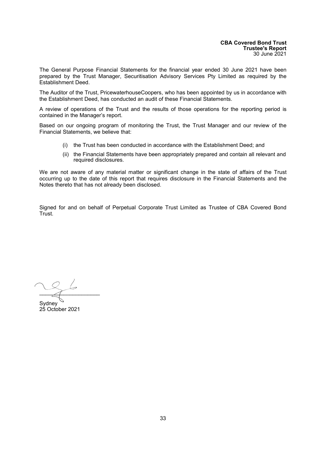<span id="page-34-0"></span>The General Purpose Financial Statements for the financial year ended 30 June 2021 have been prepared by the Trust Manager, Securitisation Advisory Services Pty Limited as required by the Establishment Deed.

The Auditor of the Trust, PricewaterhouseCoopers, who has been appointed by us in accordance with the Establishment Deed, has conducted an audit of these Financial Statements.

A review of operations of the Trust and the results of those operations for the reporting period is contained in the Manager's report.

Based on our ongoing program of monitoring the Trust, the Trust Manager and our review of the Financial Statements, we believe that:

- (i) the Trust has been conducted in accordance with the Establishment Deed; and
- (ii) the Financial Statements have been appropriately prepared and contain all relevant and required disclosures.

We are not aware of any material matter or significant change in the state of affairs of the Trust occurring up to the date of this report that requires disclosure in the Financial Statements and the Notes thereto that has not already been disclosed.

Signed for and on behalf of Perpetual Corporate Trust Limited as Trustee of CBA Covered Bond Trust.

 $\overline{\mathcal{X}}$ 

**Sydney** 25 October 2021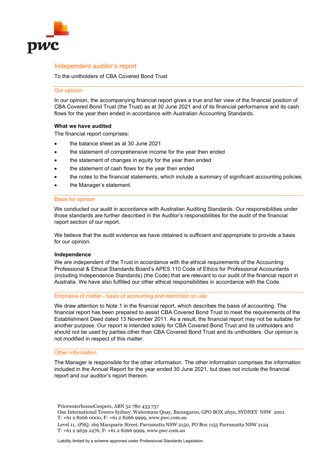

## Independent auditor's report

To the unitholders of CBA Covered Bond Trust

#### Our opinion

In our opinion, the accompanying financial report gives a true and fair view of the financial position of CBA Covered Bond Trust (the Trust) as at 30 June 2021 and of its financial performance and its cash flows for the year then ended in accordance with Australian Accounting Standards.

#### **What we have audited**

The financial report comprises:

- the balance sheet as at 30 June 2021
- the statement of comprehensive income for the year then ended
- the statement of changes in equity for the year then ended
- the statement of cash flows for the year then ended
- the notes to the financial statements, which include a summary of significant accounting policies
- the Manager's statement.

#### Basis for opinion

We conducted our audit in accordance with Australian Auditing Standards. Our responsibilities under those standards are further described in the Auditor's responsibilities for the audit of the financial report section of our report.

We believe that the audit evidence we have obtained is sufficient and appropriate to provide a basis for our opinion.

#### **Independence**

We are independent of the Trust in accordance with the ethical requirements of the Accounting Professional & Ethical Standards Board's APES 110 Code of Ethics for Professional Accountants (including Independence Standards) (the Code) that are relevant to our audit of the financial report in Australia. We have also fulfilled our other ethical responsibilities in accordance with the Code.

#### Emphasis of matter - basis of accounting and restriction on use

We draw attention to Note 1 in the financial report, which describes the basis of accounting. The financial report has been prepared to assist CBA Covered Bond Trust to meet the requirements of the Establishment Deed dated 13 November 2011. As a result, the financial report may not be suitable for another purpose. Our report is intended solely for CBA Covered Bond Trust and its unitholders and should not be used by parties other than CBA Covered Bond Trust and its unitholders. Our opinion is not modified in respect of this matter.

#### Other information

The Manager is responsible for the other information. The other information comprises the information included in the Annual Report for the year ended 30 June 2021, but does not include the financial report and our auditor's report thereon.

PricewaterhouseCoopers, ABN 52 780 433 757

- One International Towers Sydney, Watermans Quay, Barangaroo, GPO BOX 2650, SYDNEY NSW 2001 T: +61 2 8266 0000, F: +61 2 8266 9999, www.pwc.com.au
- Level 11, 1PSQ, 169 Macquarie Street, Parramatta NSW 2150, PO Box 1155 Parramatta NSW 2124 T: +61 2 9659 2476, F: +61 2 8266 9999, www.pwc.com.au

Liability limited by a scheme approved under Professional Standards Legislation.